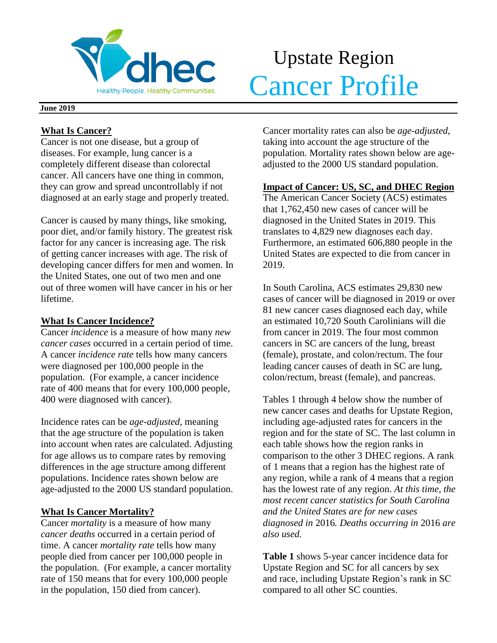

# Upstate Region **Cancer Profile**

#### **June 2019**

## **What Is Cancer?**

Cancer is not one disease, but a group of diseases. For example, lung cancer is a completely different disease than colorectal cancer. All cancers have one thing in common, they can grow and spread uncontrollably if not diagnosed at an early stage and properly treated.

Cancer is caused by many things, like smoking, poor diet, and/or family history. The greatest risk factor for any cancer is increasing age. The risk of getting cancer increases with age. The risk of developing cancer differs for men and women. In the United States, one out of two men and one out of three women will have cancer in his or her lifetime.

## **What Is Cancer Incidence?**

Cancer *incidence* is a measure of how many *new cancer cases* occurred in a certain period of time. A cancer *incidence rate* tells how many cancers were diagnosed per 100,000 people in the population. (For example, a cancer incidence rate of 400 means that for every 100,000 people, 400 were diagnosed with cancer).

Incidence rates can be *age-adjusted*, meaning that the age structure of the population is taken into account when rates are calculated. Adjusting for age allows us to compare rates by removing differences in the age structure among different populations. Incidence rates shown below are age-adjusted to the 2000 US standard population.

## **What Is Cancer Mortality?**

Cancer *mortality* is a measure of how many *cancer deaths* occurred in a certain period of time. A cancer *mortality rate* tells how many people died from cancer per 100,000 people in the population. (For example, a cancer mortality rate of 150 means that for every 100,000 people in the population, 150 died from cancer).

Cancer mortality rates can also be *age-adjusted*, taking into account the age structure of the population. Mortality rates shown below are ageadjusted to the 2000 US standard population.

## **Impact of Cancer: US, SC, and DHEC Region**

The American Cancer Society (ACS) estimates that 1,762,450 new cases of cancer will be diagnosed in the United States in 2019. This translates to 4,829 new diagnoses each day. Furthermore, an estimated 606,880 people in the United States are expected to die from cancer in 2019.

In South Carolina, ACS estimates 29,830 new cases of cancer will be diagnosed in 2019 or over 81 new cancer cases diagnosed each day, while an estimated 10,720 South Carolinians will die from cancer in 2019. The four most common cancers in SC are cancers of the lung, breast (female), prostate, and colon/rectum. The four leading cancer causes of death in SC are lung, colon/rectum, breast (female), and pancreas.

Tables 1 through 4 below show the number of new cancer cases and deaths for Upstate Region, including age-adjusted rates for cancers in the region and for the state of SC. The last column in each table shows how the region ranks in comparison to the other 3 DHEC regions. A rank of 1 means that a region has the highest rate of any region, while a rank of 4 means that a region has the lowest rate of any region. *At this time, the most recent cancer statistics for South Carolina and the United States are for new cases diagnosed in* 2016*. Deaths occurring in* 2016 *are also used.*

**Table 1** shows 5-year cancer incidence data for Upstate Region and SC for all cancers by sex and race, including Upstate Region's rank in SC compared to all other SC counties.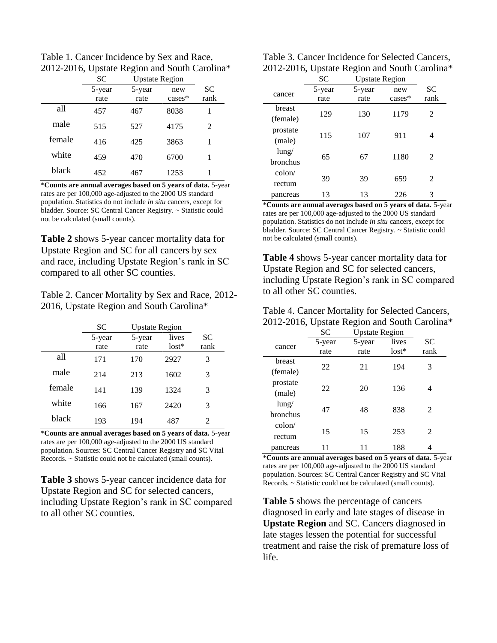Table 1. Cancer Incidence by Sex and Race, 2012-2016, Upstate Region and South Carolina\*

|        | <b>SC</b> | <b>Upstate Region</b> |           |      |
|--------|-----------|-----------------------|-----------|------|
|        | 5-year    | 5-year                | new       | SC   |
|        | rate      | rate                  | $cases^*$ | rank |
| all    | 457       | 467                   | 8038      | 1    |
| male   | 515       | 527                   | 4175      | 2    |
| female | 416       | 425                   | 3863      | 1    |
| white  | 459       | 470                   | 6700      | 1    |
| black  | 452       | 467                   | 1253      |      |

\***Counts are annual averages based on 5 years of data.** 5-year rates are per 100,000 age-adjusted to the 2000 US standard population. Statistics do not include *in situ* cancers, except for bladder. Source: SC Central Cancer Registry. ~ Statistic could not be calculated (small counts).

**Table 2** shows 5-year cancer mortality data for Upstate Region and SC for all cancers by sex and race, including Upstate Region's rank in SC compared to all other SC counties.

Table 2. Cancer Mortality by Sex and Race, 2012- 2016, Upstate Region and South Carolina\*

|        | SС             | <b>Upstate Region</b> |                  |                   |
|--------|----------------|-----------------------|------------------|-------------------|
|        | 5-year<br>rate | 5-year<br>rate        | lives<br>$lost*$ | <b>SC</b><br>rank |
| all    | 171            | 170                   | 2927             | 3                 |
| male   | 214            | 213                   | 1602             | 3                 |
| female | 141            | 139                   | 1324             | 3                 |
| white  | 166            | 167                   | 2420             | 3                 |
| black  | 193            | 194                   | 487              | 2                 |

\***Counts are annual averages based on 5 years of data.** 5-year rates are per 100,000 age-adjusted to the 2000 US standard population. Sources: SC Central Cancer Registry and SC Vital Records. ~ Statistic could not be calculated (small counts).

**Table 3** shows 5-year cancer incidence data for Upstate Region and SC for selected cancers, including Upstate Region's rank in SC compared to all other SC counties.

| Table 3. Cancer Incidence for Selected Cancers, |  |
|-------------------------------------------------|--|
| 2012-2016, Upstate Region and South Carolina*   |  |

|                 | <b>SC</b> | <b>Upstate Region</b> |           |           |  |
|-----------------|-----------|-----------------------|-----------|-----------|--|
| cancer          | 5-year    | 5-year                | new       | <b>SC</b> |  |
|                 | rate      | rate                  | $cases^*$ | rank      |  |
| <b>breast</b>   | 129       | 130                   | 1179      | 2         |  |
| (female)        |           |                       |           |           |  |
| prostate        | 115       | 107                   | 911       | 4         |  |
| (male)          |           |                       |           |           |  |
| $l$ ung/        | 65        | 67                    | 1180      | 2         |  |
| bronchus        |           |                       |           |           |  |
| $\text{colon}/$ |           |                       |           |           |  |
| rectum          | 39        | 39                    | 659       | 2         |  |
| pancreas        | 13        | 13                    | 226       | 3         |  |

\***Counts are annual averages based on 5 years of data.** 5-year rates are per 100,000 age-adjusted to the 2000 US standard population. Statistics do not include *in situ* cancers, except for bladder. Source: SC Central Cancer Registry. ~ Statistic could not be calculated (small counts).

**Table 4** shows 5-year cancer mortality data for Upstate Region and SC for selected cancers, including Upstate Region's rank in SC compared to all other SC counties.

| Table 4. Cancer Mortality for Selected Cancers, |  |
|-------------------------------------------------|--|
| 2012-2016, Upstate Region and South Carolina*   |  |

|                 | SC     | <b>Upstate Region</b> |         |                |
|-----------------|--------|-----------------------|---------|----------------|
| cancer          | 5-year | 5-year                | lives   | SC             |
|                 | rate   | rate                  | $lost*$ | rank           |
| breast          |        |                       |         |                |
| (female)        | 22     | 21                    | 194     | 3              |
| prostate        |        |                       |         |                |
| (male)          | 22     | 20                    | 136     | 4              |
| $l$ ung/        |        |                       |         |                |
| bronchus        | 47     | 48                    | 838     | $\mathfrak{D}$ |
| $\text{colon}/$ |        |                       |         |                |
| rectum          | 15     | 15                    | 253     | 2              |
| pancreas        |        |                       | 188     |                |

\***Counts are annual averages based on 5 years of data.** 5-year rates are per 100,000 age-adjusted to the 2000 US standard population. Sources: SC Central Cancer Registry and SC Vital Records. ~ Statistic could not be calculated (small counts).

**Table 5** shows the percentage of cancers diagnosed in early and late stages of disease in **Upstate Region** and SC. Cancers diagnosed in late stages lessen the potential for successful treatment and raise the risk of premature loss of life.